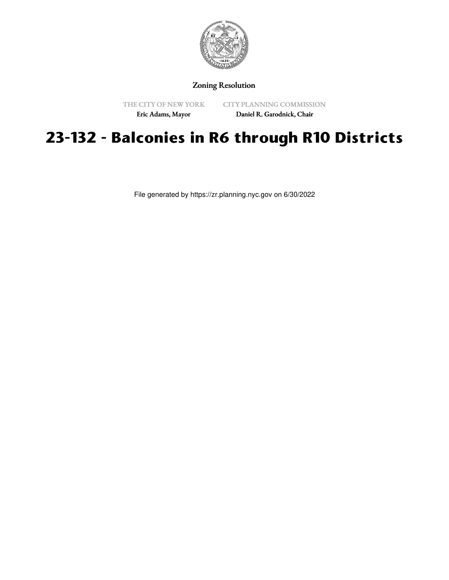

## Zoning Resolution

THE CITY OF NEW YORK

CITY PLANNING COMMISSION

Eric Adams, Mayor

Daniel R. Garodnick, Chair

## **23-132 - Balconies in R6 through R10 Districts**

File generated by https://zr.planning.nyc.gov on 6/30/2022